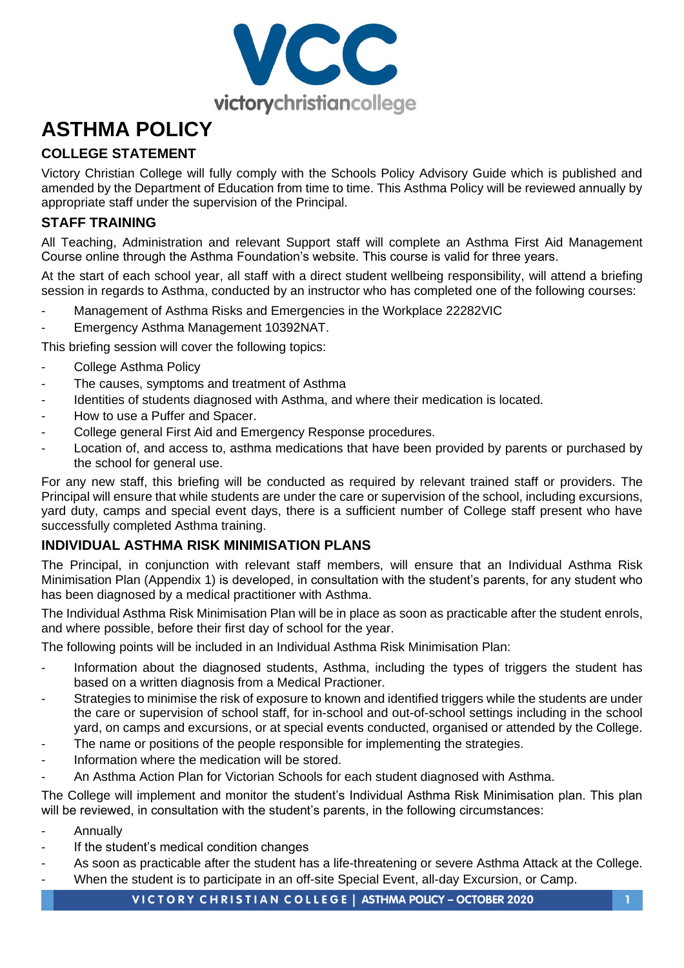

# **ASTHMA POLICY**

# **COLLEGE STATEMENT**

Victory Christian College will fully comply with the Schools Policy Advisory Guide which is published and amended by the Department of Education from time to time. This Asthma Policy will be reviewed annually by appropriate staff under the supervision of the Principal.

# **STAFF TRAINING**

All Teaching, Administration and relevant Support staff will complete an Asthma First Aid Management Course online through the Asthma Foundation's website. This course is valid for three years.

At the start of each school year, all staff with a direct student wellbeing responsibility, will attend a briefing session in regards to Asthma, conducted by an instructor who has completed one of the following courses:

- Management of Asthma Risks and Emergencies in the Workplace 22282VIC
- Emergency Asthma Management 10392NAT.

This briefing session will cover the following topics:

- College Asthma Policy
- The causes, symptoms and treatment of Asthma
- Identities of students diagnosed with Asthma, and where their medication is located.
- How to use a Puffer and Spacer.
- College general First Aid and Emergency Response procedures.
- Location of, and access to, asthma medications that have been provided by parents or purchased by the school for general use.

For any new staff, this briefing will be conducted as required by relevant trained staff or providers. The Principal will ensure that while students are under the care or supervision of the school, including excursions, yard duty, camps and special event days, there is a sufficient number of College staff present who have successfully completed Asthma training.

# **INDIVIDUAL ASTHMA RISK MINIMISATION PLANS**

The Principal, in conjunction with relevant staff members, will ensure that an Individual Asthma Risk Minimisation Plan (Appendix 1) is developed, in consultation with the student's parents, for any student who has been diagnosed by a medical practitioner with Asthma.

The Individual Asthma Risk Minimisation Plan will be in place as soon as practicable after the student enrols, and where possible, before their first day of school for the year.

The following points will be included in an Individual Asthma Risk Minimisation Plan:

- Information about the diagnosed students, Asthma, including the types of triggers the student has based on a written diagnosis from a Medical Practioner.
- Strategies to minimise the risk of exposure to known and identified triggers while the students are under the care or supervision of school staff, for in-school and out-of-school settings including in the school yard, on camps and excursions, or at special events conducted, organised or attended by the College.
- The name or positions of the people responsible for implementing the strategies.
- Information where the medication will be stored.
- An Asthma Action Plan for Victorian Schools for each student diagnosed with Asthma.

The College will implement and monitor the student's Individual Asthma Risk Minimisation plan. This plan will be reviewed, in consultation with the student's parents, in the following circumstances:

- **Annually**
- If the student's medical condition changes
- As soon as practicable after the student has a life-threatening or severe Asthma Attack at the College.
- When the student is to participate in an off-site Special Event, all-day Excursion, or Camp.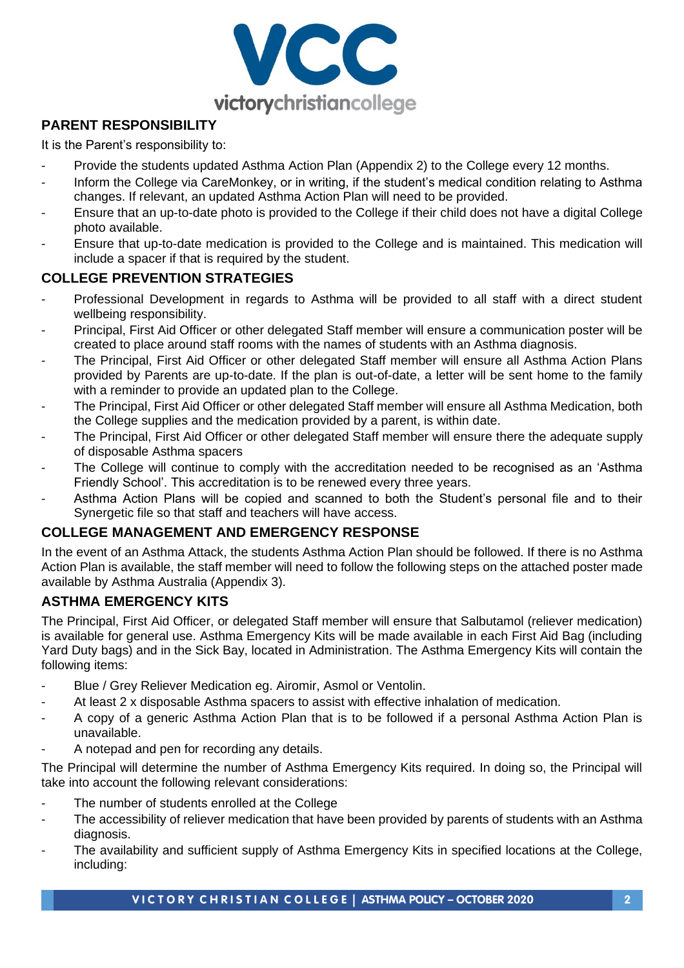

## **PARENT RESPONSIBILITY**

It is the Parent's responsibility to:

- Provide the students updated Asthma Action Plan (Appendix 2) to the College every 12 months.
- Inform the College via CareMonkey, or in writing, if the student's medical condition relating to Asthma changes. If relevant, an updated Asthma Action Plan will need to be provided.
- Ensure that an up-to-date photo is provided to the College if their child does not have a digital College photo available.
- Ensure that up-to-date medication is provided to the College and is maintained. This medication will include a spacer if that is required by the student.

#### **COLLEGE PREVENTION STRATEGIES**

- Professional Development in regards to Asthma will be provided to all staff with a direct student wellbeing responsibility.
- Principal, First Aid Officer or other delegated Staff member will ensure a communication poster will be created to place around staff rooms with the names of students with an Asthma diagnosis.
- The Principal, First Aid Officer or other delegated Staff member will ensure all Asthma Action Plans provided by Parents are up-to-date. If the plan is out-of-date, a letter will be sent home to the family with a reminder to provide an updated plan to the College.
- The Principal, First Aid Officer or other delegated Staff member will ensure all Asthma Medication, both the College supplies and the medication provided by a parent, is within date.
- The Principal, First Aid Officer or other delegated Staff member will ensure there the adequate supply of disposable Asthma spacers
- The College will continue to comply with the accreditation needed to be recognised as an 'Asthma Friendly School'. This accreditation is to be renewed every three years.
- Asthma Action Plans will be copied and scanned to both the Student's personal file and to their Synergetic file so that staff and teachers will have access.

#### **COLLEGE MANAGEMENT AND EMERGENCY RESPONSE**

In the event of an Asthma Attack, the students Asthma Action Plan should be followed. If there is no Asthma Action Plan is available, the staff member will need to follow the following steps on the attached poster made available by Asthma Australia (Appendix 3).

#### **ASTHMA EMERGENCY KITS**

The Principal, First Aid Officer, or delegated Staff member will ensure that Salbutamol (reliever medication) is available for general use. Asthma Emergency Kits will be made available in each First Aid Bag (including Yard Duty bags) and in the Sick Bay, located in Administration. The Asthma Emergency Kits will contain the following items:

- Blue / Grey Reliever Medication eg. Airomir, Asmol or Ventolin.
- At least 2 x disposable Asthma spacers to assist with effective inhalation of medication.
- A copy of a generic Asthma Action Plan that is to be followed if a personal Asthma Action Plan is unavailable.
- A notepad and pen for recording any details.

The Principal will determine the number of Asthma Emergency Kits required. In doing so, the Principal will take into account the following relevant considerations:

- The number of students enrolled at the College
- The accessibility of reliever medication that have been provided by parents of students with an Asthma diagnosis.
- The availability and sufficient supply of Asthma Emergency Kits in specified locations at the College, including: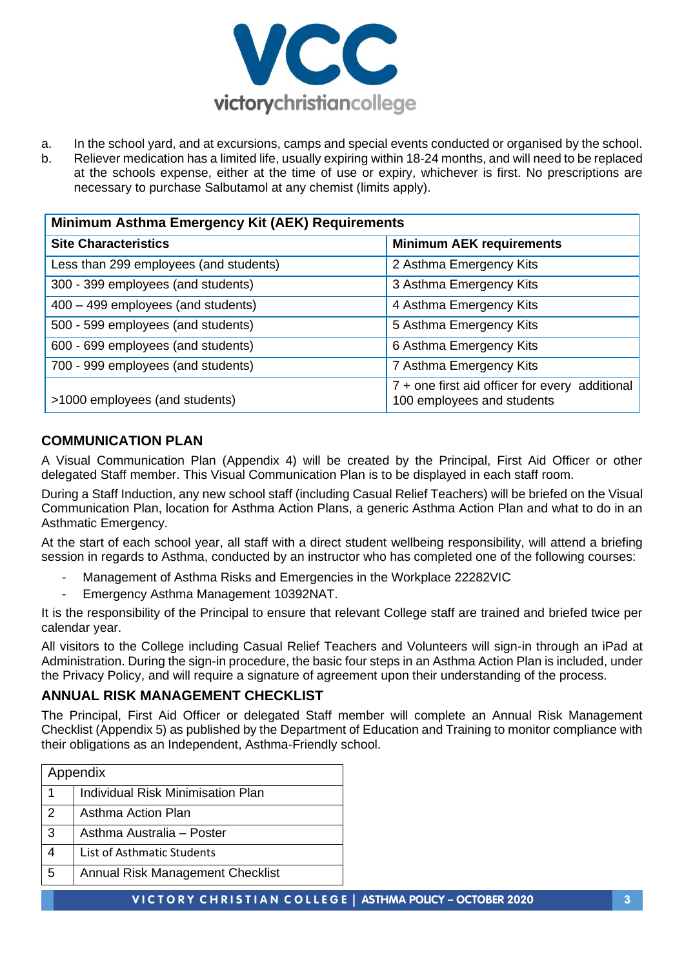

- a. In the school yard, and at excursions, camps and special events conducted or organised by the school.
- b. Reliever medication has a limited life, usually expiring within 18-24 months, and will need to be replaced at the schools expense, either at the time of use or expiry, whichever is first. No prescriptions are necessary to purchase Salbutamol at any chemist (limits apply).

| Minimum Asthma Emergency Kit (AEK) Requirements |                                                                                |  |  |  |
|-------------------------------------------------|--------------------------------------------------------------------------------|--|--|--|
| <b>Site Characteristics</b>                     | <b>Minimum AEK requirements</b>                                                |  |  |  |
| Less than 299 employees (and students)          | 2 Asthma Emergency Kits                                                        |  |  |  |
| 300 - 399 employees (and students)              | 3 Asthma Emergency Kits                                                        |  |  |  |
| 400 - 499 employees (and students)              | 4 Asthma Emergency Kits                                                        |  |  |  |
| 500 - 599 employees (and students)              | 5 Asthma Emergency Kits                                                        |  |  |  |
| 600 - 699 employees (and students)              | 6 Asthma Emergency Kits                                                        |  |  |  |
| 700 - 999 employees (and students)              | 7 Asthma Emergency Kits                                                        |  |  |  |
| >1000 employees (and students)                  | $7 +$ one first aid officer for every additional<br>100 employees and students |  |  |  |

#### **COMMUNICATION PLAN**

A Visual Communication Plan (Appendix 4) will be created by the Principal, First Aid Officer or other delegated Staff member. This Visual Communication Plan is to be displayed in each staff room.

During a Staff Induction, any new school staff (including Casual Relief Teachers) will be briefed on the Visual Communication Plan, location for Asthma Action Plans, a generic Asthma Action Plan and what to do in an Asthmatic Emergency.

At the start of each school year, all staff with a direct student wellbeing responsibility, will attend a briefing session in regards to Asthma, conducted by an instructor who has completed one of the following courses:

- Management of Asthma Risks and Emergencies in the Workplace 22282VIC
- Emergency Asthma Management 10392NAT.

It is the responsibility of the Principal to ensure that relevant College staff are trained and briefed twice per calendar year.

All visitors to the College including Casual Relief Teachers and Volunteers will sign-in through an iPad at Administration. During the sign-in procedure, the basic four steps in an Asthma Action Plan is included, under the Privacy Policy, and will require a signature of agreement upon their understanding of the process.

#### **ANNUAL RISK MANAGEMENT CHECKLIST**

The Principal, First Aid Officer or delegated Staff member will complete an Annual Risk Management Checklist (Appendix 5) as published by the Department of Education and Training to monitor compliance with their obligations as an Independent, Asthma-Friendly school.

|               | Appendix                                 |
|---------------|------------------------------------------|
|               | <b>Individual Risk Minimisation Plan</b> |
| $\mathcal{P}$ | Asthma Action Plan                       |
| 3             | Asthma Australia - Poster                |
|               | List of Asthmatic Students               |
| 5             | Annual Risk Management Checklist         |
|               |                                          |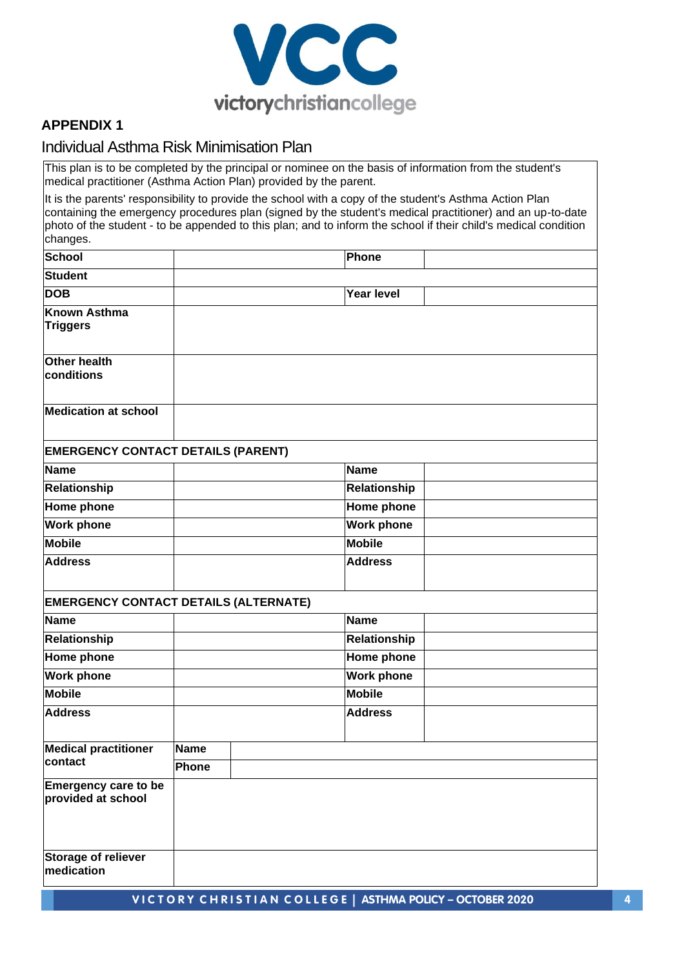

#### **APPENDIX 1**

#### Individual Asthma Risk Minimisation Plan

This plan is to be completed by the principal or nominee on the basis of information from the student's medical practitioner (Asthma Action Plan) provided by the parent.

It is the parents' responsibility to provide the school with a copy of the student's Asthma Action Plan containing the emergency procedures plan (signed by the student's medical practitioner) and an up-to-date photo of the student - to be appended to this plan; and to inform the school if their child's medical condition changes.

| <b>School</b>                                     |             | Phone             |  |
|---------------------------------------------------|-------------|-------------------|--|
| <b>Student</b>                                    |             |                   |  |
| <b>DOB</b>                                        |             | <b>Year level</b> |  |
| <b>Known Asthma</b><br><b>Triggers</b>            |             |                   |  |
| <b>Other health</b><br>conditions                 |             |                   |  |
| <b>Medication at school</b>                       |             |                   |  |
| <b>EMERGENCY CONTACT DETAILS (PARENT)</b>         |             |                   |  |
| <b>Name</b>                                       |             | <b>Name</b>       |  |
| Relationship                                      |             | Relationship      |  |
| <b>Home phone</b>                                 |             | Home phone        |  |
| <b>Work phone</b>                                 |             | <b>Work phone</b> |  |
| <b>Mobile</b>                                     |             | <b>Mobile</b>     |  |
| <b>Address</b>                                    |             | <b>Address</b>    |  |
| <b>EMERGENCY CONTACT DETAILS (ALTERNATE)</b>      |             |                   |  |
| <b>Name</b>                                       |             | <b>Name</b>       |  |
| Relationship                                      |             | Relationship      |  |
| <b>Home phone</b>                                 |             | Home phone        |  |
| <b>Work phone</b>                                 |             | <b>Work phone</b> |  |
| <b>Mobile</b>                                     |             | <b>Mobile</b>     |  |
| <b>Address</b>                                    |             | <b>Address</b>    |  |
| <b>Medical practitioner</b>                       | <b>Name</b> |                   |  |
| contact                                           | Phone       |                   |  |
| <b>Emergency care to be</b><br>provided at school |             |                   |  |
| <b>Storage of reliever</b><br>medication          |             |                   |  |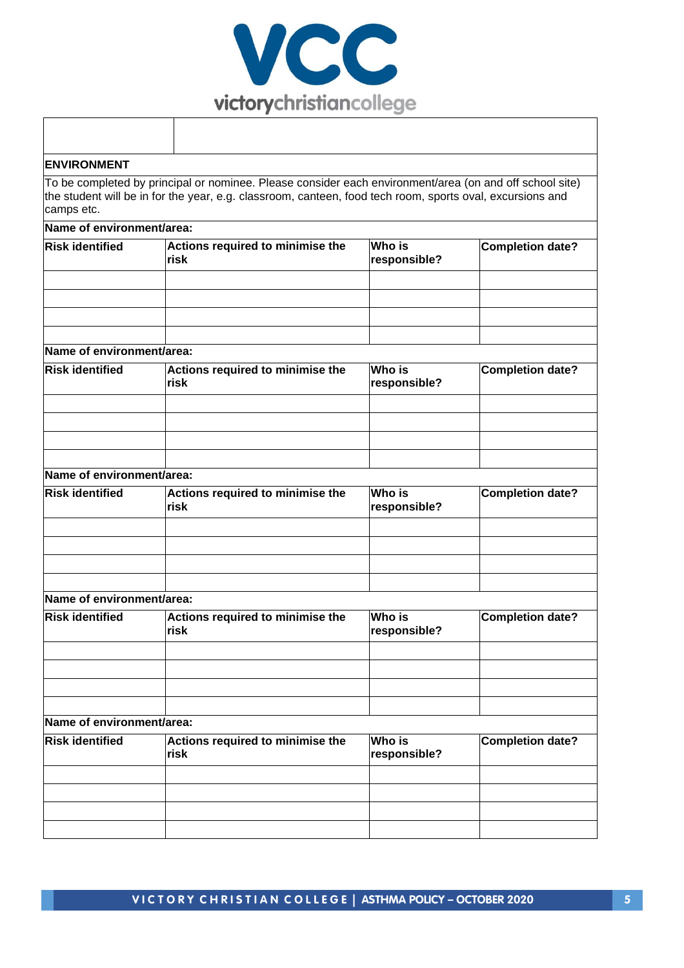

| <b>ENVIRONMENT</b>        |                                                                                                                                                                                                                      |                               |                         |
|---------------------------|----------------------------------------------------------------------------------------------------------------------------------------------------------------------------------------------------------------------|-------------------------------|-------------------------|
| camps etc.                | To be completed by principal or nominee. Please consider each environment/area (on and off school site)<br>the student will be in for the year, e.g. classroom, canteen, food tech room, sports oval, excursions and |                               |                         |
| Name of environment/area: |                                                                                                                                                                                                                      |                               |                         |
| <b>Risk identified</b>    | Actions required to minimise the<br>risk                                                                                                                                                                             | <b>Who is</b><br>responsible? | <b>Completion date?</b> |
|                           |                                                                                                                                                                                                                      |                               |                         |
|                           |                                                                                                                                                                                                                      |                               |                         |
|                           |                                                                                                                                                                                                                      |                               |                         |
| Name of environment/area: |                                                                                                                                                                                                                      |                               |                         |
| <b>Risk identified</b>    | Actions required to minimise the                                                                                                                                                                                     | <b>Who is</b>                 | <b>Completion date?</b> |
|                           | risk                                                                                                                                                                                                                 | responsible?                  |                         |
|                           |                                                                                                                                                                                                                      |                               |                         |
|                           |                                                                                                                                                                                                                      |                               |                         |
|                           |                                                                                                                                                                                                                      |                               |                         |
| Name of environment/area: |                                                                                                                                                                                                                      |                               |                         |
|                           |                                                                                                                                                                                                                      |                               |                         |
| <b>Risk identified</b>    | Actions required to minimise the<br>risk                                                                                                                                                                             | <b>Who is</b><br>responsible? | <b>Completion date?</b> |
|                           |                                                                                                                                                                                                                      |                               |                         |
|                           |                                                                                                                                                                                                                      |                               |                         |
|                           |                                                                                                                                                                                                                      |                               |                         |
| Name of environment/area: |                                                                                                                                                                                                                      |                               |                         |
| <b>Risk identified</b>    | Actions required to minimise the<br>risk                                                                                                                                                                             | <b>Who is</b><br>responsible? | <b>Completion date?</b> |
|                           |                                                                                                                                                                                                                      |                               |                         |
|                           |                                                                                                                                                                                                                      |                               |                         |
|                           |                                                                                                                                                                                                                      |                               |                         |
|                           |                                                                                                                                                                                                                      |                               |                         |
| Name of environment/area: |                                                                                                                                                                                                                      |                               |                         |
| <b>Risk identified</b>    | Actions required to minimise the<br>risk                                                                                                                                                                             | <b>Who is</b><br>responsible? | <b>Completion date?</b> |
|                           |                                                                                                                                                                                                                      |                               |                         |
|                           |                                                                                                                                                                                                                      |                               |                         |
|                           |                                                                                                                                                                                                                      |                               |                         |
|                           |                                                                                                                                                                                                                      |                               |                         |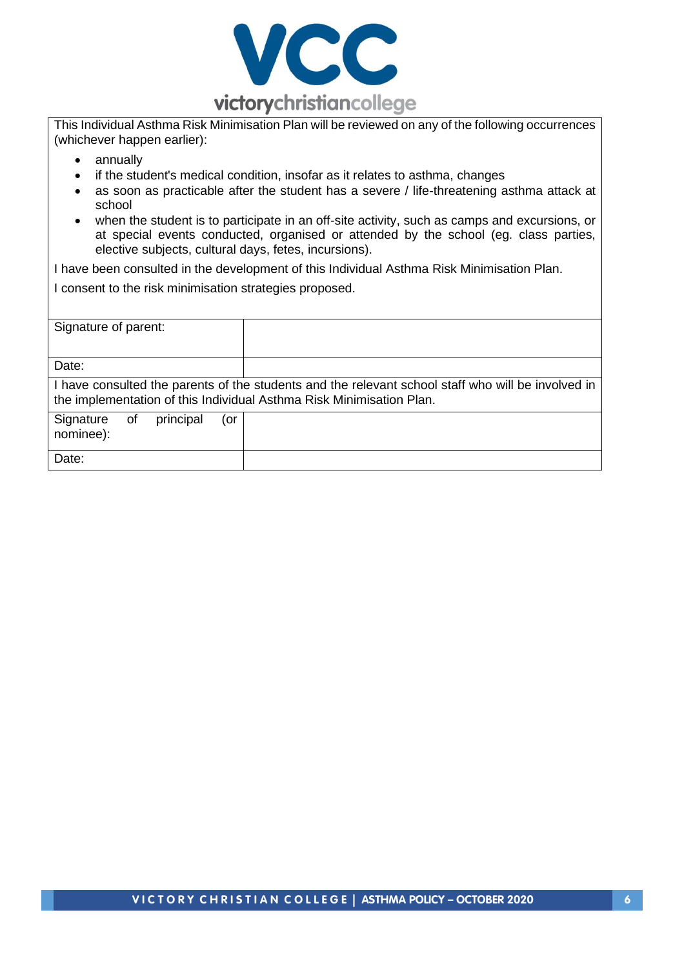

This Individual Asthma Risk Minimisation Plan will be reviewed on any of the following occurrences (whichever happen earlier):

- annually
- if the student's medical condition, insofar as it relates to asthma, changes
- as soon as practicable after the student has a severe / life-threatening asthma attack at school
- when the student is to participate in an off-site activity, such as camps and excursions, or at special events conducted, organised or attended by the school (eg. class parties, elective subjects, cultural days, fetes, incursions).

I have been consulted in the development of this Individual Asthma Risk Minimisation Plan.

I consent to the risk minimisation strategies proposed.

| Signature of parent:                             |                                                                                                                                                                            |
|--------------------------------------------------|----------------------------------------------------------------------------------------------------------------------------------------------------------------------------|
|                                                  |                                                                                                                                                                            |
|                                                  |                                                                                                                                                                            |
| Date:                                            |                                                                                                                                                                            |
|                                                  | I have consulted the parents of the students and the relevant school staff who will be involved in<br>the implementation of this Individual Asthma Risk Minimisation Plan. |
| Signature<br>principal<br>0f<br>(or<br>nominee): |                                                                                                                                                                            |
| Date:                                            |                                                                                                                                                                            |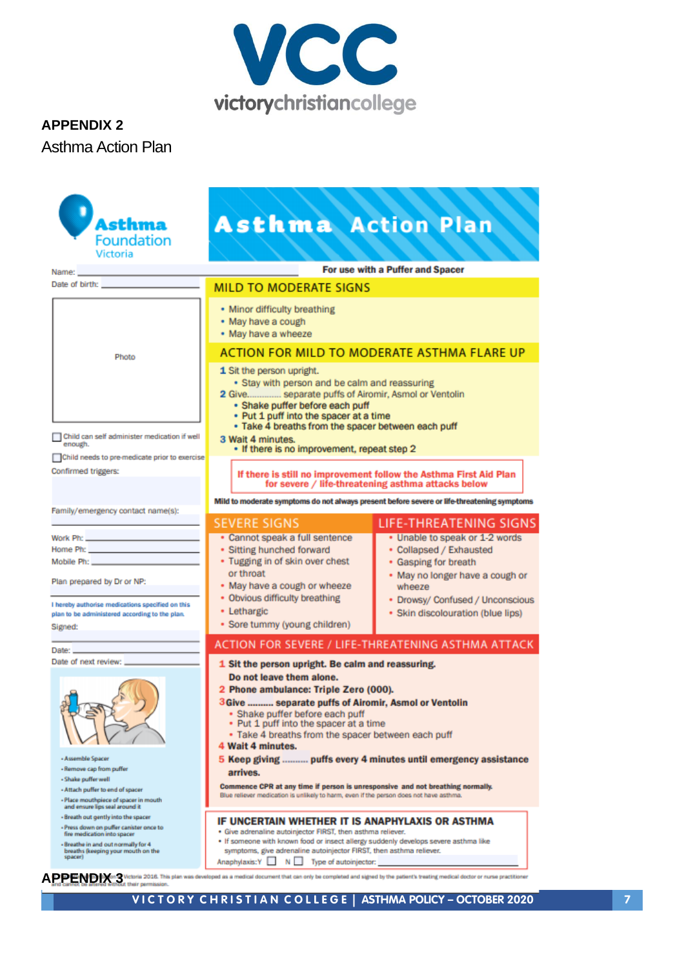

# **APPENDIX 2** Asthma Action Plan

| Asthma                                                                                                                                                                                                                                                                                                                                                              | <b>Asthma Action Plan</b>                                                                                                                                                                                                                                                                                                                                                                                                                                                                                                                                                                                                                                                                                                                |                                                                                                                    |  |  |
|---------------------------------------------------------------------------------------------------------------------------------------------------------------------------------------------------------------------------------------------------------------------------------------------------------------------------------------------------------------------|------------------------------------------------------------------------------------------------------------------------------------------------------------------------------------------------------------------------------------------------------------------------------------------------------------------------------------------------------------------------------------------------------------------------------------------------------------------------------------------------------------------------------------------------------------------------------------------------------------------------------------------------------------------------------------------------------------------------------------------|--------------------------------------------------------------------------------------------------------------------|--|--|
| <b>Foundation</b>                                                                                                                                                                                                                                                                                                                                                   |                                                                                                                                                                                                                                                                                                                                                                                                                                                                                                                                                                                                                                                                                                                                          |                                                                                                                    |  |  |
| Victoria                                                                                                                                                                                                                                                                                                                                                            |                                                                                                                                                                                                                                                                                                                                                                                                                                                                                                                                                                                                                                                                                                                                          |                                                                                                                    |  |  |
| Name:                                                                                                                                                                                                                                                                                                                                                               |                                                                                                                                                                                                                                                                                                                                                                                                                                                                                                                                                                                                                                                                                                                                          | For use with a Puffer and Spacer                                                                                   |  |  |
| Date of birth: <b>contract of property</b>                                                                                                                                                                                                                                                                                                                          | <b>MILD TO MODERATE SIGNS</b>                                                                                                                                                                                                                                                                                                                                                                                                                                                                                                                                                                                                                                                                                                            |                                                                                                                    |  |  |
|                                                                                                                                                                                                                                                                                                                                                                     | • Minor difficulty breathing<br>· May have a cough<br>• May have a wheeze                                                                                                                                                                                                                                                                                                                                                                                                                                                                                                                                                                                                                                                                |                                                                                                                    |  |  |
| Photo                                                                                                                                                                                                                                                                                                                                                               | ACTION FOR MILD TO MODERATE ASTHMA FLARE UP                                                                                                                                                                                                                                                                                                                                                                                                                                                                                                                                                                                                                                                                                              |                                                                                                                    |  |  |
| Child can self administer medication if well<br>enough.                                                                                                                                                                                                                                                                                                             | 1 Sit the person upright.<br>• Stay with person and be calm and reassuring<br>2 Give separate puffs of Airomir, Asmol or Ventolin<br>· Shake puffer before each puff<br>• Put 1 puff into the spacer at a time<br>. Take 4 breaths from the spacer between each puff<br>3 Wait 4 minutes.<br>. If there is no improvement, repeat step 2                                                                                                                                                                                                                                                                                                                                                                                                 |                                                                                                                    |  |  |
| Child needs to pre-medicate prior to exercise                                                                                                                                                                                                                                                                                                                       |                                                                                                                                                                                                                                                                                                                                                                                                                                                                                                                                                                                                                                                                                                                                          |                                                                                                                    |  |  |
| Confirmed triggers:<br>If there is still no improvement follow the Asthma First Aid Plan                                                                                                                                                                                                                                                                            |                                                                                                                                                                                                                                                                                                                                                                                                                                                                                                                                                                                                                                                                                                                                          |                                                                                                                    |  |  |
| Family/emergency contact name(s):                                                                                                                                                                                                                                                                                                                                   | for severe / life-threatening asthma attacks below<br>Mild to moderate symptoms do not always present before severe or life-threatening symptoms                                                                                                                                                                                                                                                                                                                                                                                                                                                                                                                                                                                         |                                                                                                                    |  |  |
|                                                                                                                                                                                                                                                                                                                                                                     | <b>SEVERE SIGNS</b>                                                                                                                                                                                                                                                                                                                                                                                                                                                                                                                                                                                                                                                                                                                      | <b>LIFE-THREATENING SIGNS</b>                                                                                      |  |  |
| Work Ph: New York District Philips (New York District Philips )                                                                                                                                                                                                                                                                                                     | · Cannot speak a full sentence<br>· Sitting hunched forward                                                                                                                                                                                                                                                                                                                                                                                                                                                                                                                                                                                                                                                                              | . Unable to speak or 1-2 words<br>• Collapsed / Exhausted                                                          |  |  |
|                                                                                                                                                                                                                                                                                                                                                                     | • Tugging in of skin over chest                                                                                                                                                                                                                                                                                                                                                                                                                                                                                                                                                                                                                                                                                                          | • Gasping for breath                                                                                               |  |  |
| Plan prepared by Dr or NP:<br>I hereby authorise medications specified on this<br>plan to be administered according to the plan.<br>Signed:                                                                                                                                                                                                                         | or throat<br>. May have a cough or wheeze<br>• Obvious difficulty breathing<br>• Lethargic<br>· Sore tummy (young children)                                                                                                                                                                                                                                                                                                                                                                                                                                                                                                                                                                                                              | . May no longer have a cough or<br>wheeze<br>• Drowsy/ Confused / Unconscious<br>• Skin discolouration (blue lips) |  |  |
| Date: <b>Date:</b>                                                                                                                                                                                                                                                                                                                                                  |                                                                                                                                                                                                                                                                                                                                                                                                                                                                                                                                                                                                                                                                                                                                          | ACTION FOR SEVERE / LIFE-THREATENING ASTHMA ATTACK                                                                 |  |  |
| Date of next review:<br>- Assemble Spacer<br>- Remove cap from puffer<br>- Shake puffer well<br>- Attach puffer to end of spacer<br>- Place mouthpiece of spacer in mouth<br>and ensure lips seal around it<br>- Breath out gently into the spacer<br>- Press down on puffer canister once to<br>fire medication into spacer<br>- Breathe in and out normally for 4 | 1 Sit the person upright. Be calm and reassuring.<br>Do not leave them alone.<br>2 Phone ambulance: Triple Zero (000).<br>3 Give  separate puffs of Airomir, Asmol or Ventolin<br>· Shake puffer before each puff<br>. Put 1 puff into the spacer at a time<br>. Take 4 breaths from the spacer between each puff<br>4 Wait 4 minutes.<br>arrives.<br>Commence CPR at any time if person is unresponsive and not breathing normally.<br>Blue reliever medication is unlikely to harm, even if the person does not have asthma.<br>IF UNCERTAIN WHETHER IT IS ANAPHYLAXIS OR ASTHMA<br>· Give adrenaline autoiniector FIRST, then asthma reliever.<br>. If someone with known food or insect allergy suddenly develops severe asthma like | 5 Keep giving  puffs every 4 minutes until emergency assistance                                                    |  |  |
| breaths (keeping your mouth on the<br>spacer)                                                                                                                                                                                                                                                                                                                       | symptoms, give adrenaline autoinjector FIRST, then asthma reliever.<br>Anaphylaxis:Y<br>$N$ $\Box$<br>Type of autoinjector:<br><b>DDENDIX</b> on The Victoria 2016. This plan was developed as a medical document that can only be completed and signed by the patient's treating medical doctor or nurse practitioner<br>and career be attended response their permi                                                                                                                                                                                                                                                                                                                                                                    |                                                                                                                    |  |  |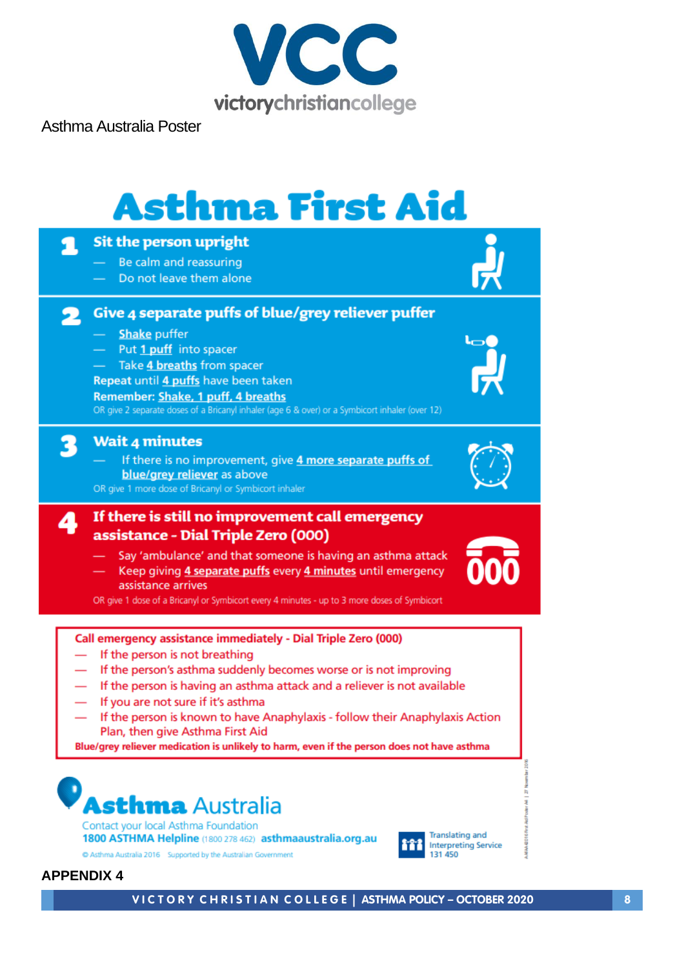

Asthma Australia Poster

# **Asthma First Aid**



**APPENDIX 4**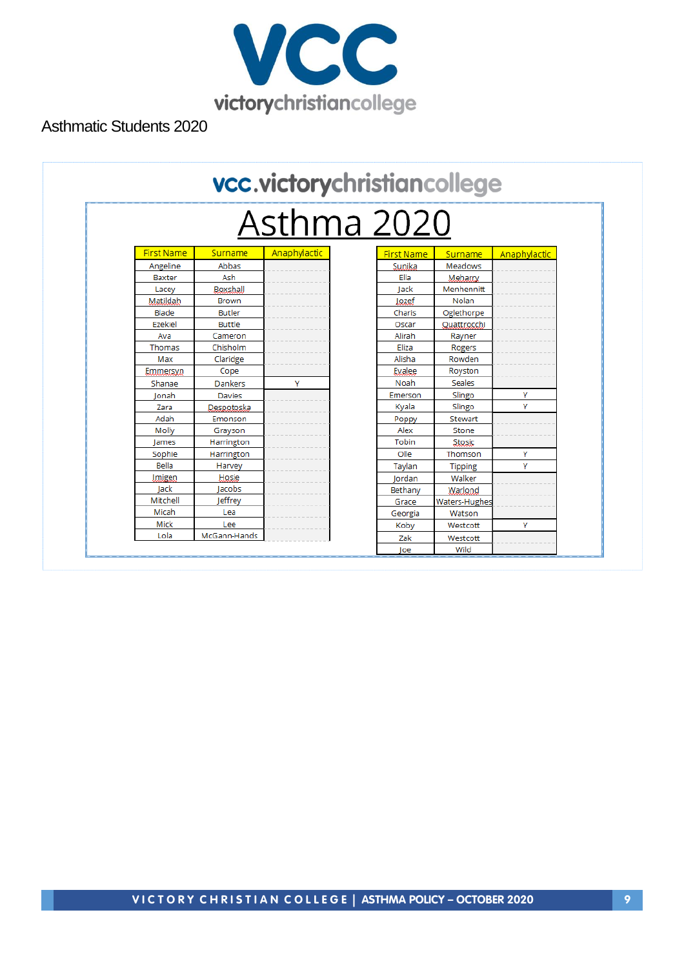

Asthmatic Students 2020

|                   |               | vcc.victorychristiancollege |  |                   |                      |              |
|-------------------|---------------|-----------------------------|--|-------------------|----------------------|--------------|
| Asthma 2020       |               |                             |  |                   |                      |              |
| <b>First Name</b> | Surname       | Anaphylactic                |  | <b>First Name</b> | Surname              | Anaphylactic |
| Angeline          | Abbas         |                             |  | Sunika            | Meadows              |              |
| Baxter            | Ash           |                             |  | Ella              | Meharry              |              |
| Lacey             | Boxshall      |                             |  | lack              | Menhennitt           |              |
| Matildah          | <b>Brown</b>  |                             |  | Jozef             | Nolan                |              |
| Blade             | <b>Butler</b> |                             |  | Charis            | Oglethorpe           |              |
| Ezekiel           | <b>Buttle</b> |                             |  | Oscar             | Quattrocchi          |              |
| Ava               | Cameron       |                             |  | Alirah            | Rayner               |              |
| Thomas            | Chisholm      |                             |  | Eliza             | Rogers               |              |
| Max               | Claridge      |                             |  | Alisha            | Rowden               |              |
| Emmersyn          | Cope          |                             |  | Evalee            | Royston              |              |
| Shanae            | Dankers       | Y                           |  | Noah              | <b>Seales</b>        |              |
| Ionah             | <b>Davies</b> |                             |  | Emerson           | Slingo               | Y            |
| Zara              | Despotoska    |                             |  | Kyala             | Slingo               | Y            |
| Adah              | Emonson       |                             |  | Poppy             | Stewart              |              |
| Molly             | Grayson       |                             |  | Alex              | Stone                |              |
| lames             | Harrington    |                             |  | Tobin             | Stosic               |              |
| Sophie            | Harrington    |                             |  | Olle              | Thomson              | Y            |
| Bella             | Harvey        |                             |  | Taylan            | <b>Tipping</b>       | Y            |
| Imigen            | Hosie         |                             |  | Iordan            | Walker               |              |
| lack              | lacobs        |                             |  | Bethany           | Warlond              |              |
| Mitchell          | leffrey       |                             |  | Grace             | <b>Waters-Hughes</b> |              |
| Micah             | Lea           |                             |  | Georgia           | Watson               |              |
| Mick              | Lee           |                             |  | Koby              | Westcott             | Y            |
| Lola              | McGann-Hands  |                             |  | Zak               | Westcott             |              |
|                   |               |                             |  | loe               | Wild                 |              |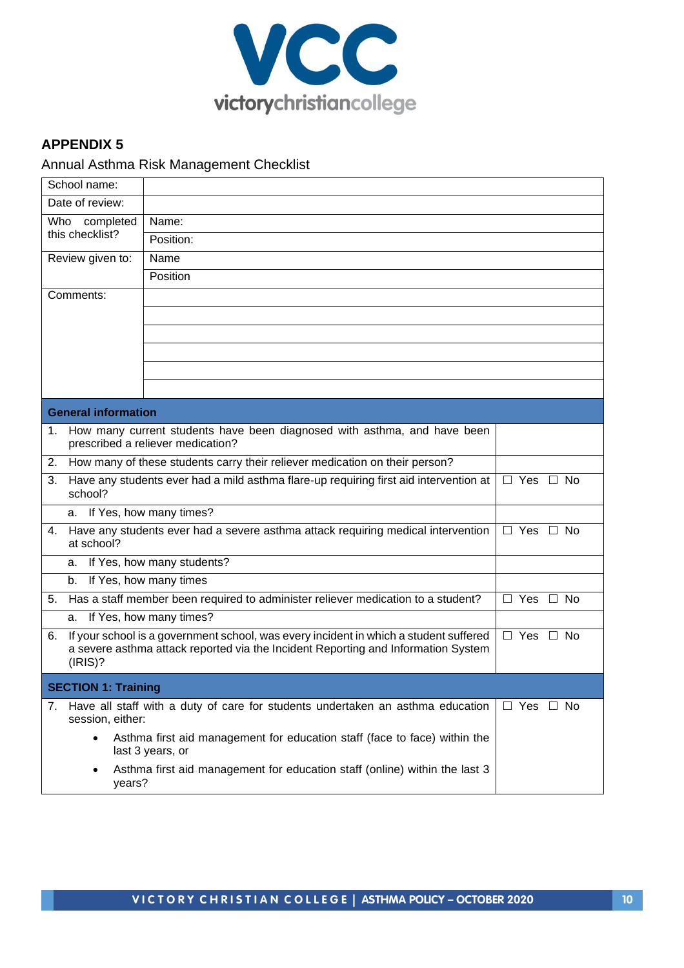

#### **APPENDIX 5**

## Annual Asthma Risk Management Checklist

| School name:               |                                                                                                                                     |                                                                                                                                                                            |                      |  |  |
|----------------------------|-------------------------------------------------------------------------------------------------------------------------------------|----------------------------------------------------------------------------------------------------------------------------------------------------------------------------|----------------------|--|--|
| Date of review:            |                                                                                                                                     |                                                                                                                                                                            |                      |  |  |
| Who                        | completed                                                                                                                           | Name:                                                                                                                                                                      |                      |  |  |
| this checklist?            |                                                                                                                                     |                                                                                                                                                                            |                      |  |  |
|                            | Review given to:<br>Name                                                                                                            |                                                                                                                                                                            |                      |  |  |
|                            |                                                                                                                                     | Position                                                                                                                                                                   |                      |  |  |
| Comments:                  |                                                                                                                                     |                                                                                                                                                                            |                      |  |  |
|                            |                                                                                                                                     |                                                                                                                                                                            |                      |  |  |
|                            |                                                                                                                                     |                                                                                                                                                                            |                      |  |  |
|                            |                                                                                                                                     |                                                                                                                                                                            |                      |  |  |
|                            |                                                                                                                                     |                                                                                                                                                                            |                      |  |  |
|                            |                                                                                                                                     |                                                                                                                                                                            |                      |  |  |
| <b>General information</b> |                                                                                                                                     |                                                                                                                                                                            |                      |  |  |
| 1.                         |                                                                                                                                     | How many current students have been diagnosed with asthma, and have been<br>prescribed a reliever medication?                                                              |                      |  |  |
|                            |                                                                                                                                     | 2. How many of these students carry their reliever medication on their person?                                                                                             |                      |  |  |
| 3.                         | Have any students ever had a mild asthma flare-up requiring first aid intervention at<br>$\overline{\Box}$ Yes $\Box$ No<br>school? |                                                                                                                                                                            |                      |  |  |
| a. If Yes, how many times? |                                                                                                                                     |                                                                                                                                                                            |                      |  |  |
| 4.                         | Have any students ever had a severe asthma attack requiring medical intervention<br>$\Box$ Yes $\Box$ No<br>at school?              |                                                                                                                                                                            |                      |  |  |
| a.                         |                                                                                                                                     | If Yes, how many students?                                                                                                                                                 |                      |  |  |
| b.                         |                                                                                                                                     | If Yes, how many times                                                                                                                                                     |                      |  |  |
| 5.                         |                                                                                                                                     | Has a staff member been required to administer reliever medication to a student?                                                                                           | $\Box$ Yes $\Box$ No |  |  |
| а.                         |                                                                                                                                     | If Yes, how many times?                                                                                                                                                    |                      |  |  |
| 6.<br>(IRIS)?              |                                                                                                                                     | If your school is a government school, was every incident in which a student suffered<br>a severe asthma attack reported via the Incident Reporting and Information System | $\Box$ Yes $\Box$ No |  |  |
| <b>SECTION 1: Training</b> |                                                                                                                                     |                                                                                                                                                                            |                      |  |  |
| 7.                         | session, either:                                                                                                                    | Have all staff with a duty of care for students undertaken an asthma education                                                                                             | $\Box$ Yes $\Box$ No |  |  |
| $\bullet$                  |                                                                                                                                     | Asthma first aid management for education staff (face to face) within the<br>last 3 years, or                                                                              |                      |  |  |
| ٠                          | years?                                                                                                                              | Asthma first aid management for education staff (online) within the last 3                                                                                                 |                      |  |  |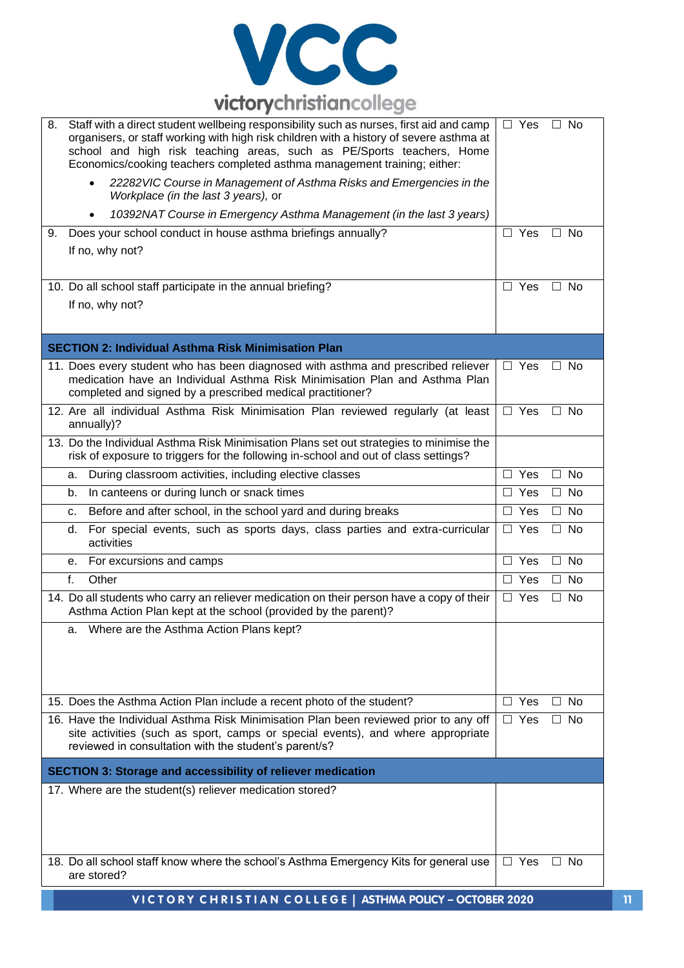

| 8. | Staff with a direct student wellbeing responsibility such as nurses, first aid and camp<br>organisers, or staff working with high risk children with a history of severe asthma at<br>school and high risk teaching areas, such as PE/Sports teachers, Home<br>Economics/cooking teachers completed asthma management training; either:<br>22282 VIC Course in Management of Asthma Risks and Emergencies in the<br>$\bullet$ | $\Box$ Yes            | $\Box$ No           |
|----|-------------------------------------------------------------------------------------------------------------------------------------------------------------------------------------------------------------------------------------------------------------------------------------------------------------------------------------------------------------------------------------------------------------------------------|-----------------------|---------------------|
|    | Workplace (in the last 3 years), or                                                                                                                                                                                                                                                                                                                                                                                           |                       |                     |
|    | 10392NAT Course in Emergency Asthma Management (in the last 3 years)<br>$\bullet$                                                                                                                                                                                                                                                                                                                                             |                       |                     |
| 9. | Does your school conduct in house asthma briefings annually?<br>If no, why not?                                                                                                                                                                                                                                                                                                                                               | $\Box$ Yes            | $\Box$ No           |
|    | 10. Do all school staff participate in the annual briefing?<br>If no, why not?                                                                                                                                                                                                                                                                                                                                                | $\Box$ Yes            | $\Box$ No           |
|    | <b>SECTION 2: Individual Asthma Risk Minimisation Plan</b>                                                                                                                                                                                                                                                                                                                                                                    |                       |                     |
|    | 11. Does every student who has been diagnosed with asthma and prescribed reliever<br>medication have an Individual Asthma Risk Minimisation Plan and Asthma Plan<br>completed and signed by a prescribed medical practitioner?                                                                                                                                                                                                | $\Box$ Yes            | $\Box$ No           |
|    | 12. Are all individual Asthma Risk Minimisation Plan reviewed regularly (at least<br>annually)?                                                                                                                                                                                                                                                                                                                               | $\Box$ Yes            | $\Box$ No           |
|    | 13. Do the Individual Asthma Risk Minimisation Plans set out strategies to minimise the<br>risk of exposure to triggers for the following in-school and out of class settings?                                                                                                                                                                                                                                                |                       |                     |
|    | During classroom activities, including elective classes<br>a.                                                                                                                                                                                                                                                                                                                                                                 | $\Box$ Yes            | No<br>$\Box$        |
|    | In canteens or during lunch or snack times<br>b.                                                                                                                                                                                                                                                                                                                                                                              | $\Box$ Yes            | $\Box$<br>No        |
|    | Before and after school, in the school yard and during breaks<br>c.                                                                                                                                                                                                                                                                                                                                                           | $\Box$ Yes            | <b>No</b><br>П      |
|    | For special events, such as sports days, class parties and extra-curricular<br>d.<br>activities                                                                                                                                                                                                                                                                                                                               | $\Box$ Yes            | <b>No</b><br>$\Box$ |
|    | For excursions and camps<br>е.                                                                                                                                                                                                                                                                                                                                                                                                | $\Box$ Yes            | <b>No</b><br>$\Box$ |
|    | f.<br>Other                                                                                                                                                                                                                                                                                                                                                                                                                   | $\Box$ Yes            | $\Box$<br>No        |
|    | 14. Do all students who carry an reliever medication on their person have a copy of their<br>Asthma Action Plan kept at the school (provided by the parent)?                                                                                                                                                                                                                                                                  | $\overline{\Box}$ Yes | <b>No</b><br>П      |
|    | Where are the Asthma Action Plans kept?<br>а.                                                                                                                                                                                                                                                                                                                                                                                 |                       |                     |
|    | 15. Does the Asthma Action Plan include a recent photo of the student?                                                                                                                                                                                                                                                                                                                                                        | $\Box$ Yes            | <b>No</b><br>$\Box$ |
|    | 16. Have the Individual Asthma Risk Minimisation Plan been reviewed prior to any off<br>site activities (such as sport, camps or special events), and where appropriate<br>reviewed in consultation with the student's parent/s?                                                                                                                                                                                              | $\Box$ Yes            | <b>No</b><br>П      |
|    | <b>SECTION 3: Storage and accessibility of reliever medication</b>                                                                                                                                                                                                                                                                                                                                                            |                       |                     |
|    | 17. Where are the student(s) reliever medication stored?                                                                                                                                                                                                                                                                                                                                                                      |                       |                     |
|    | 18. Do all school staff know where the school's Asthma Emergency Kits for general use<br>are stored?                                                                                                                                                                                                                                                                                                                          | $\Box$ Yes            | $\Box$ No           |
|    | VICTORY CHRISTIAN COLLEGE   ASTHMA POLICY - OCTOBER 2020                                                                                                                                                                                                                                                                                                                                                                      |                       |                     |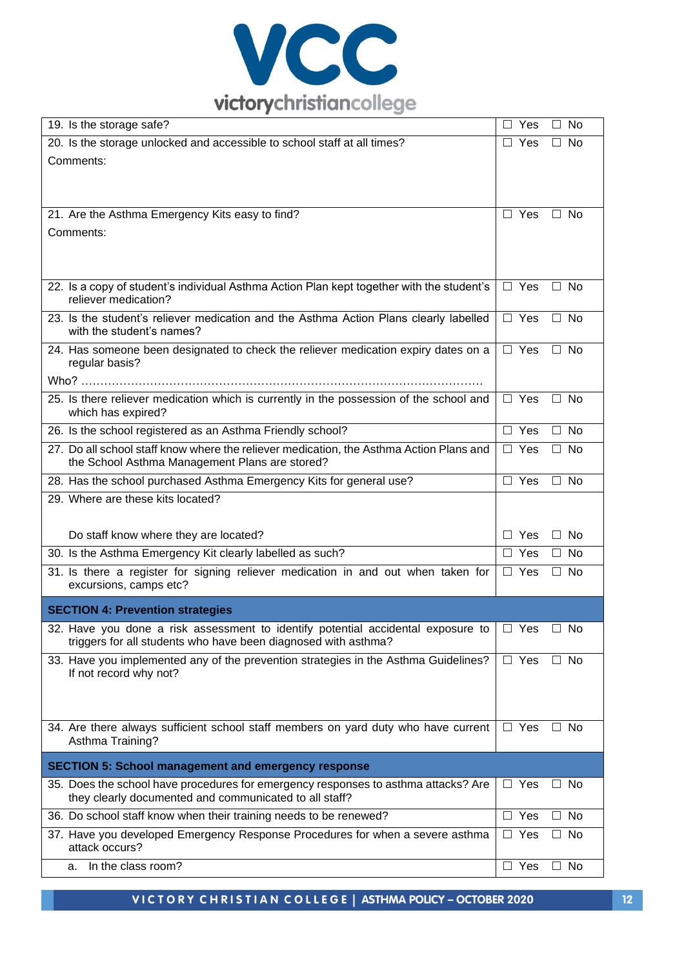

| 19. Is the storage safe?                                                                                                                                                | $\Box$ Yes<br>$\Box$ No            |  |
|-------------------------------------------------------------------------------------------------------------------------------------------------------------------------|------------------------------------|--|
| 20. Is the storage unlocked and accessible to school staff at all times?                                                                                                | $\Box$ Yes<br>$\Box$ No            |  |
| Comments:                                                                                                                                                               |                                    |  |
|                                                                                                                                                                         |                                    |  |
| 21. Are the Asthma Emergency Kits easy to find?                                                                                                                         | $\Box$ Yes<br>$\Box$ No            |  |
| Comments:                                                                                                                                                               |                                    |  |
|                                                                                                                                                                         |                                    |  |
| 22. Is a copy of student's individual Asthma Action Plan kept together with the student's<br>reliever medication?                                                       | $\Box$ Yes<br>$\Box$ No            |  |
| 23. Is the student's reliever medication and the Asthma Action Plans clearly labelled<br>with the student's names?                                                      | $\Box$ Yes<br>$\Box$ No            |  |
| 24. Has someone been designated to check the reliever medication expiry dates on a<br>regular basis?                                                                    | $\Box$ Yes<br>$\Box$ No            |  |
|                                                                                                                                                                         |                                    |  |
| 25. Is there reliever medication which is currently in the possession of the school and<br>which has expired?                                                           | $\Box$ Yes<br>$\Box$ No            |  |
| 26. Is the school registered as an Asthma Friendly school?                                                                                                              | $\Box$ Yes<br>$\Box$ No            |  |
| 27. Do all school staff know where the reliever medication, the Asthma Action Plans and<br>the School Asthma Management Plans are stored?                               | $\Box$ Yes<br>$\overline{\Box}$ No |  |
| 28. Has the school purchased Asthma Emergency Kits for general use?                                                                                                     | $\Box$ No<br>$\Box$ Yes            |  |
| 29. Where are these kits located?                                                                                                                                       |                                    |  |
| Do staff know where they are located?                                                                                                                                   | $\Box$ Yes<br>$\Box$ No            |  |
| 30. Is the Asthma Emergency Kit clearly labelled as such?                                                                                                               | $\Box$ No<br>$\Box$ Yes            |  |
| 31. Is there a register for signing reliever medication in and out when taken for<br>excursions, camps etc?                                                             | $\Box$ Yes<br>$\Box$ No            |  |
| <b>SECTION 4: Prevention strategies</b>                                                                                                                                 |                                    |  |
| 32. Have you done a risk assessment to identify potential accidental exposure to $\Box$ Yes $\Box$ No<br>triggers for all students who have been diagnosed with asthma? |                                    |  |
| 33. Have you implemented any of the prevention strategies in the Asthma Guidelines?<br>If not record why not?                                                           | $\Box$ Yes<br>$\Box$ No            |  |
| 34. Are there always sufficient school staff members on yard duty who have current<br>Asthma Training?                                                                  | $\Box$ Yes<br>$\Box$ No            |  |
| <b>SECTION 5: School management and emergency response</b>                                                                                                              |                                    |  |
| 35. Does the school have procedures for emergency responses to asthma attacks? Are<br>they clearly documented and communicated to all staff?                            | $\Box$ Yes<br>$\Box$ No            |  |
| 36. Do school staff know when their training needs to be renewed?                                                                                                       | $\Box$ Yes<br>$\Box$ No            |  |
| 37. Have you developed Emergency Response Procedures for when a severe asthma<br>attack occurs?                                                                         | $\Box$ Yes<br>$\Box$ No            |  |
| In the class room?<br>a.                                                                                                                                                | $\Box$ Yes<br>$\Box$ No            |  |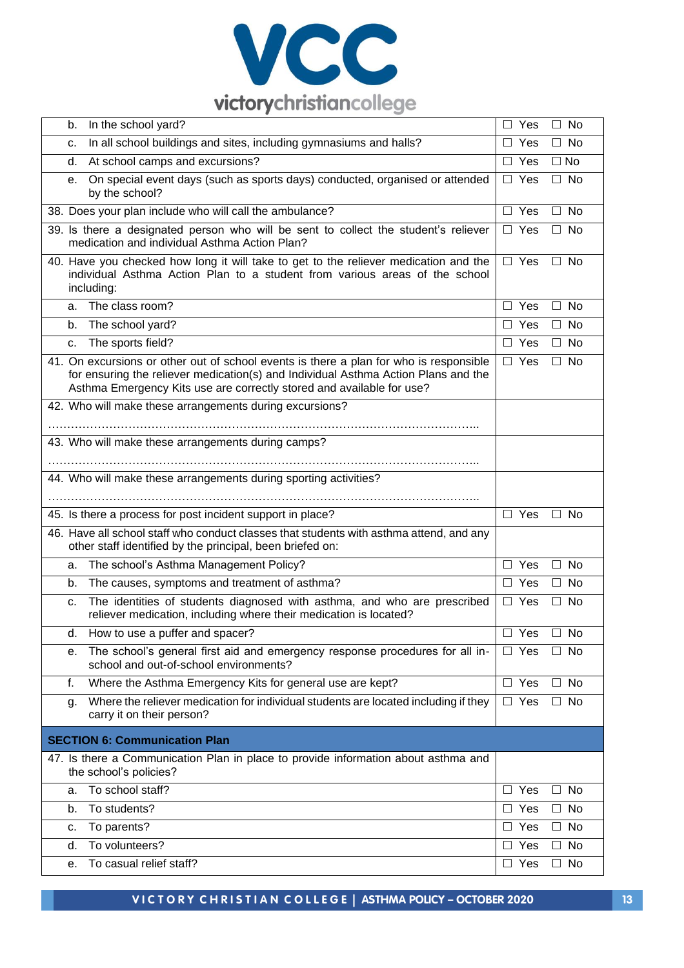

| In the school yard?<br>b.                                                                                                                                                                                                                             | $\Box$ No<br>$\Box$ Yes                            |
|-------------------------------------------------------------------------------------------------------------------------------------------------------------------------------------------------------------------------------------------------------|----------------------------------------------------|
| In all school buildings and sites, including gymnasiums and halls?<br>c.                                                                                                                                                                              | $\Box$ Yes<br>$\Box$ No                            |
| At school camps and excursions?<br>d.                                                                                                                                                                                                                 | $\Box$ No<br>$\Box$ Yes                            |
| On special event days (such as sports days) conducted, organised or attended<br>е.<br>by the school?                                                                                                                                                  | $\Box$ No<br>$\Box$ Yes                            |
| 38. Does your plan include who will call the ambulance?                                                                                                                                                                                               | $\Box$ Yes<br>$\Box$ No                            |
| 39. Is there a designated person who will be sent to collect the student's reliever<br>medication and individual Asthma Action Plan?                                                                                                                  | $\Box$ Yes<br><b>No</b><br>П                       |
| 40. Have you checked how long it will take to get to the reliever medication and the<br>individual Asthma Action Plan to a student from various areas of the school<br>including:                                                                     | $\Box$ Yes<br>$\Box$ No                            |
| The class room?<br>a.                                                                                                                                                                                                                                 | $\Box$ Yes<br>$\Box$ No                            |
| The school yard?<br>b.                                                                                                                                                                                                                                | $\Box$ Yes<br><b>No</b><br>П.                      |
| The sports field?<br>c.                                                                                                                                                                                                                               | $\Box$ No<br>$\Box$ Yes                            |
| 41. On excursions or other out of school events is there a plan for who is responsible<br>for ensuring the reliever medication(s) and Individual Asthma Action Plans and the<br>Asthma Emergency Kits use are correctly stored and available for use? | $\Box$ Yes<br>$\Box$ No                            |
| 42. Who will make these arrangements during excursions?                                                                                                                                                                                               |                                                    |
| 43. Who will make these arrangements during camps?                                                                                                                                                                                                    |                                                    |
| 44. Who will make these arrangements during sporting activities?                                                                                                                                                                                      |                                                    |
| 45. Is there a process for post incident support in place?                                                                                                                                                                                            | $\Box$ Yes<br>$\Box$ No                            |
| 46. Have all school staff who conduct classes that students with asthma attend, and any<br>other staff identified by the principal, been briefed on:                                                                                                  |                                                    |
| The school's Asthma Management Policy?<br>a.                                                                                                                                                                                                          | $\Box$ Yes<br>$\Box$ No                            |
| The causes, symptoms and treatment of asthma?<br>b.                                                                                                                                                                                                   | $\Box$ Yes<br><b>No</b><br>$\Box$                  |
| The identities of students diagnosed with asthma, and who are prescribed<br>c.<br>reliever medication, including where their medication is located?                                                                                                   | $\Box$ Yes<br>No<br>$\Box$                         |
| How to use a puffer and spacer?<br>α.                                                                                                                                                                                                                 | $\Box$ Yes<br>$\Box$ No                            |
| The school's general first aid and emergency response procedures for all in-<br>е.<br>school and out-of-school environments?                                                                                                                          | $\Box$ Yes<br>$\Box$ No                            |
| Where the Asthma Emergency Kits for general use are kept?<br>f.                                                                                                                                                                                       | $\Box$ Yes<br>$\Box$ No                            |
| Where the reliever medication for individual students are located including if they<br>g.<br>carry it on their person?                                                                                                                                |                                                    |
|                                                                                                                                                                                                                                                       | $\Box$ Yes<br>$\Box$ No                            |
| <b>SECTION 6: Communication Plan</b>                                                                                                                                                                                                                  |                                                    |
| 47. Is there a Communication Plan in place to provide information about asthma and<br>the school's policies?                                                                                                                                          |                                                    |
| To school staff?<br>a.                                                                                                                                                                                                                                | $\Box$ No<br>$\Box$ Yes                            |
| To students?<br>b.                                                                                                                                                                                                                                    | $\Box$ Yes<br><b>No</b><br>$\Box$                  |
| To parents?<br>c.                                                                                                                                                                                                                                     | $\Box$ Yes<br>$\Box$ No                            |
| To volunteers?<br>d.<br>To casual relief staff?                                                                                                                                                                                                       | $\Box$ No<br>$\Box$ Yes<br>$\Box$ Yes<br>$\Box$ No |